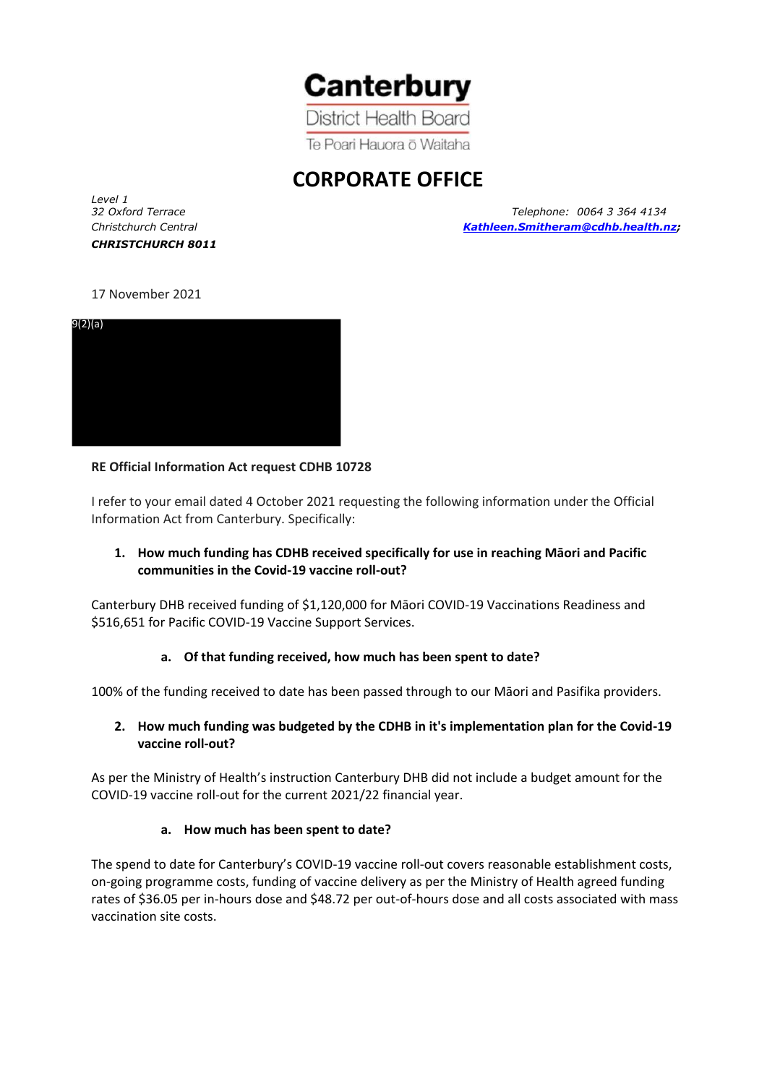

**District Health Board** Te Poari Hauora ō Waitaha

# **CORPORATE OFFICE**

*Level 1 CHRISTCHURCH 8011*

*32 Oxford Terrace Telephone: 0064 3 364 4134 Christchurch Central [Kathleen.Smitheram@cdhb.health.nz;](mailto:Kathleen.Smitheram@cdhb.health.nz)*

## 17 November 2021



## **RE Official Information Act request CDHB 10728**

I refer to your email dated 4 October 2021 requesting the following information under the Official Information Act from Canterbury. Specifically:

# **1. How much funding has CDHB received specifically for use in reaching Māori and Pacific communities in the Covid-19 vaccine roll-out?**

Canterbury DHB received funding of \$1,120,000 for Māori COVID-19 Vaccinations Readiness and \$516,651 for Pacific COVID-19 Vaccine Support Services.

## **a. Of that funding received, how much has been spent to date?**

100% of the funding received to date has been passed through to our Māori and Pasifika providers.

## **2. How much funding was budgeted by the CDHB in it's implementation plan for the Covid-19 vaccine roll-out?**

As per the Ministry of Health's instruction Canterbury DHB did not include a budget amount for the COVID-19 vaccine roll-out for the current 2021/22 financial year.

#### **a. How much has been spent to date?**

The spend to date for Canterbury's COVID-19 vaccine roll-out covers reasonable establishment costs, on-going programme costs, funding of vaccine delivery as per the Ministry of Health agreed funding rates of \$36.05 per in-hours dose and \$48.72 per out-of-hours dose and all costs associated with mass vaccination site costs.